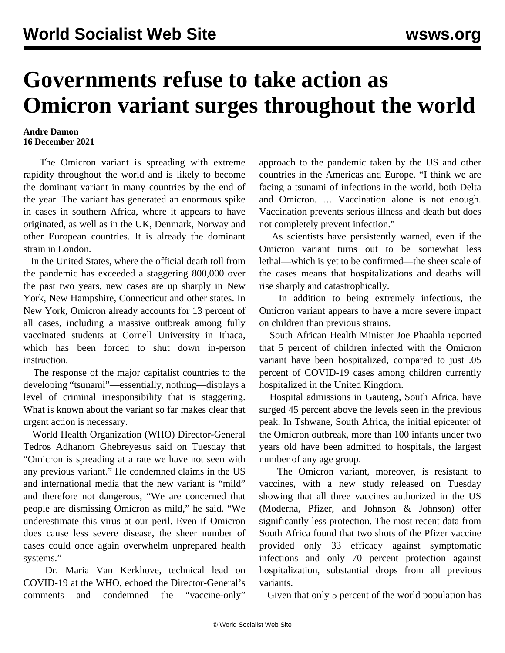## **Governments refuse to take action as Omicron variant surges throughout the world**

## **Andre Damon 16 December 2021**

 The Omicron variant is spreading with extreme rapidity throughout the world and is likely to become the dominant variant in many countries by the end of the year. The variant has generated an enormous spike in cases in southern Africa, where it appears to have originated, as well as in the UK, Denmark, Norway and other European countries. It is already the dominant strain in London.

 In the United States, where the official death toll from the pandemic has exceeded a staggering 800,000 over the past two years, new cases are up sharply in New York, New Hampshire, Connecticut and other states. In New York, Omicron already accounts for 13 percent of all cases, including a massive outbreak among fully vaccinated students at Cornell University in Ithaca, which has been forced to shut down in-person instruction.

 The response of the major capitalist countries to the developing "tsunami"—essentially, nothing—displays a level of criminal irresponsibility that is staggering. What is known about the variant so far makes clear that urgent action is necessary.

 World Health Organization (WHO) Director-General Tedros Adhanom Ghebreyesus said on Tuesday that "Omicron is spreading at a rate we have not seen with any previous variant." He condemned claims in the US and international media that the new variant is "mild" and therefore not dangerous, "We are concerned that people are dismissing Omicron as mild," he said. "We underestimate this virus at our peril. Even if Omicron does cause less severe disease, the sheer number of cases could once again overwhelm unprepared health systems."

 Dr. Maria Van Kerkhove, technical lead on COVID-19 at the WHO, echoed the Director-General's comments and condemned the "vaccine-only"

approach to the pandemic taken by the US and other countries in the Americas and Europe. "I think we are facing a tsunami of infections in the world, both Delta and Omicron. … Vaccination alone is not enough. Vaccination prevents serious illness and death but does not completely prevent infection."

 As scientists have persistently warned, even if the Omicron variant turns out to be somewhat less lethal—which is yet to be confirmed—the sheer scale of the cases means that hospitalizations and deaths will rise sharply and catastrophically.

 In addition to being extremely infectious, the Omicron variant appears to have a more severe impact on children than previous strains.

 South African Health Minister Joe Phaahla reported that 5 percent of children infected with the Omicron variant have been hospitalized, compared to just .05 percent of COVID-19 cases among children currently hospitalized in the United Kingdom.

 Hospital admissions in Gauteng, South Africa, have surged 45 percent above the levels seen in the previous peak. In Tshwane, South Africa, the initial epicenter of the Omicron outbreak, more than 100 infants under two years old have been admitted to hospitals, the largest number of any age group.

 The Omicron variant, moreover, is resistant to vaccines, with a new study released on Tuesday showing that all three vaccines authorized in the US (Moderna, Pfizer, and Johnson & Johnson) offer significantly less protection. The most recent data from South Africa found that two shots of the Pfizer vaccine provided only 33 efficacy against symptomatic infections and only 70 percent protection against hospitalization, substantial drops from all previous variants.

Given that only 5 percent of the world population has